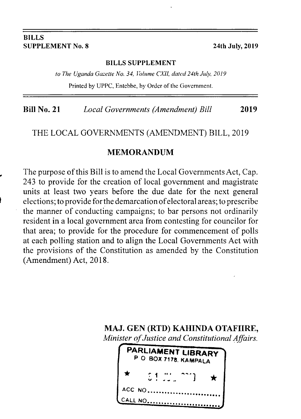#### BILLS SUPPLEMENT No. 8 24th July, 2019

#### BTLLS SUPPLEMENT

to The Uganda Gazette No. 34, Volume CXII, dated 24th July, 2019

Printed by UPPC, Entebbe, by Order of the Government.

Bill No. 21 Local Governments (Amendment) Bill 2019

#### THE LOCAL GOVERNMENTS (AMENDMENT) BILL, 2019

#### MEMORANDUM

The purpose of this Bill is to amend the Local Governments Act, Cap. 243 to provide for the creation of local government and magistrate units at least two years before the due date for the next general elections; to provide forthe demarcationofelectoral areas; to prescribe the manner of conducting campaigns; to bar persons not ordinarily resident in a local government area from contesting for councilor for that area; to provide for the procedure for commencement of polls at each polling station and to align the Local Governments Act with the provisions of the Constitution as amended by the Constitution (Amendment) Act, 2018.

MAJ. GEN (RTD) KAHINDA OTAFIIRE, Minister of Justice and Constitutional Affairs.

| PARLIAMENT LIBRARY<br>PO BOX 7178, KAMPALA |          |  |  |  |
|--------------------------------------------|----------|--|--|--|
| ◆                                          | 51.22.22 |  |  |  |
|                                            | ACC NO   |  |  |  |
|                                            | CALL NO  |  |  |  |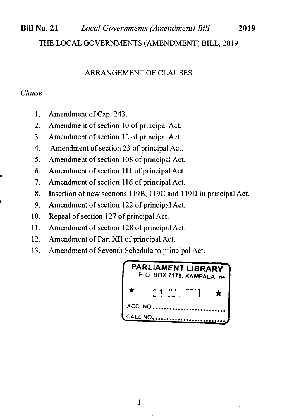# Bill No.21 Local Governments (Amendment) Bill <sup>2019</sup> THE LOCAL GOVERNMENTS (AMENDMENT) BILL, 2019

#### ARRANGEMENT OF CLAUSES

#### Clause

I

- l. Amendment of Cap. 243.
- 2. Amendment of section l0 of principal Act.
- ). Amendment of section l2 of principal Act.
- 4. Amendment of section 23 of principal Act.
- 5. Amendment of section 108 of principal Act.
- 6. Amendment of section 111 of principal Act.
- 7. Amendment of section 116 of principal Act.
- 8. lnsertion of new sections I l9B, I l9C and l19D in principal Act.
- 9. Amendment of section 122 of principal Act.
- 10. Repeal of section 127 of principal Act.
- ll. Amendment of section 128 of principal Act.
- $12.$ Amendment of Part XII of principal Act.
- 13. Amendment of Seventh Schedule to principal Act.

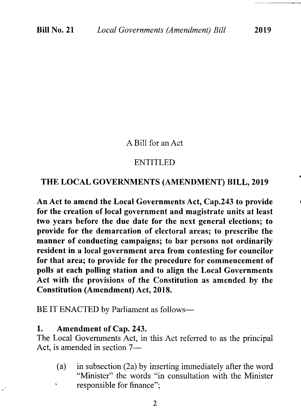#### A Bill for an Act

#### ENTITLED

#### THE LOCAL GOVERNMENTS (AMENDMENT) BILL, 2019

An Act to amend the Local Governments Act, Cap.243 to provide for the creation of local government and magistrate units at least two years before the due date for the next general elections; to provide for the demarcation of electoral areas; to prescribe the manner of conducting campaigns; to bar persons not ordinarily resident in a local government area from contesting for councilor for that area; to provide for the procedure for commencement of polls at each polling station and to align the Local Governments Act with the provisions of the Constitution as amended by the Constitution (Amendment) Act, 2018.

BE IT ENACTED by Parliament as follows-

#### 1. Amendment of Cap.243.

The Local Govemments Act, in this Act referred to as the principal Act, is amended in section 7-

(a) in subsection (2a) by inserting immediately after the word "Minister" the words "in consultation with the Minister responsible for finance";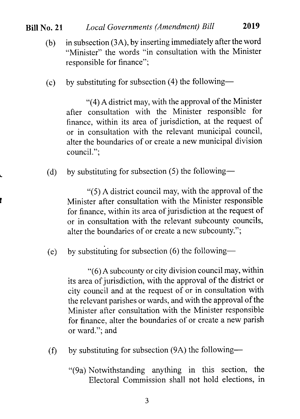#### Bill No. 21 Local Governments (Amendment) Bill <sup>2019</sup>

- (b) in subsection (3A), by inserting immediately after the word "Minister" the words "in consultation with the Minister responsible for finance",
- (c) by substituting for subsection (4) the following-

"(4) A district may, with the approval of the Minister after consultation with the Minister responsible for finance, within its area of jurisdiction, at the request of or in consultation with the relevant municipal council, alter the boundaries of or create a new municipal division council.";

(d) by substituting for subsection (5) the following-

"(5) A district council may, with the approval of the Minister after consultation with the Minister responsible for finance, within its area of jurisdiction at the request of or in consultation with the relevant subcounty councils, alter the boundaries of or create a new subcounty.";

(e) by substituting for subsection  $(6)$  the following-

"(6) A subcounty or city division council may, within its area of jurisdiction, with the approval of the district or city council and at the request of or in consultation with the relevant parishes or wards, and with the approval of the Minister after consultation with the Minister responsible for finance, alter the boundaries of or create a new parish or ward."; and

- (f) by substituting for subsection  $(9A)$  the following-
	- "(9a) Notwithstanding anything in this section, the Electoral Commission shall not hold elections, in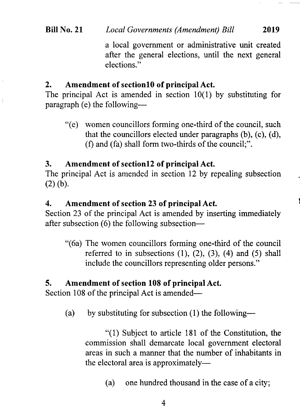### Bill No. 21 Local Governments (Amendment) Bill 2019

a local government or administrative unit created after the general elections, until the next general elections."

#### 2. Amendment of sectionl0 of principal Act.

The principal Act is amended in section 10(1) by substituting for paragraph (e) the following-

"(e) women councillors forming one-third of the council, such that the councillors elected under paragraphs (b), (c), (d), (f) and (fa) shall form two-thirds of the council;".

#### 3. Amendment of sectionl2 of principal Act.

The principal Act is amended in section 12 by repealing subsection (2) (b).

#### 4. Amendment of section 23 of principal Act.

Section 23 of the principal Act is amended by inserting immediately after subsection (6) the following subsection---

"(6a) The women councillors forming one-third of the council referred to in subsections  $(1)$ ,  $(2)$ ,  $(3)$ ,  $(4)$  and  $(5)$  shall include the councillors representing older persons."

#### 5. Amendment of section 108 of principal Act.

Section 108 of the principal Act is amended—

(a) by substituting for subsection  $(1)$  the following-

"(1) Subject to article 181 of the Constitution, the commission shall demarcate local government electoral areas in such a manner that the number of inhabitants in the electoral area is approximately—

(a) one hundred thousand in the case of a city;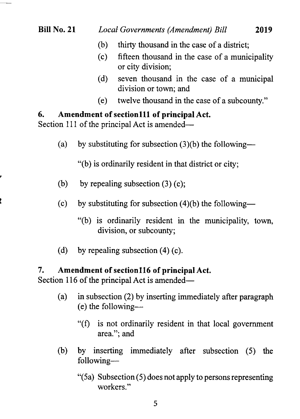- (b) thirty thousand in the case of a district;
- (c) fifteen thousand in the case of a municipality or city division;
- (d) seven thousand in the case of a municipal division or town; and
- (e) twelve thousand in the case of a subcounty."

#### 6. Amendment of sectionlll of principal Act.

Section 111 of the principal Act is amended—

(a) by substituting for subsection  $(3)(b)$  the following--

"(b) is ordinarily resident in that district or city;

- (b) by repealing subsection  $(3)$  (c);
- (c) by substituting for subsection  $(4)(b)$  the following-
	- "(b) is ordinarily resident in the municipality, town, division, or subcounty;
- (d) by repealing subsection  $(4)$  (c).

#### 7. Amendment of section 116 of principal Act.

Section 116 of the principal Act is amended—

- (a) in subsection (2) by inserting immediately after paragraph  $(e)$  the following---
	- "(f) is not ordinarily resident in that local government area."; and
- (b) by inserting immediately after subsection (5) the following-
	- "(5a) Subsection (5) does not apply to persons representing workers."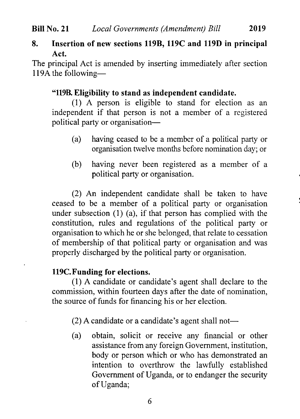### 8. Insertion of new sections 119B, 119C and 119D in principal Act.

The principal Act is amended by inserting immediately after section  $119A$  the following-

## "1198 Eligibility to stand as independent candidate.

(1) A person is eligible to stand for election as an independent if that person is not a member of a registered political party or organisation-

- (a) having ceased to be a member of a political party or organisation twelve months before nomination day; or
- (b) having never been registered as a member of <sup>a</sup> political party or organisation.

(2) An independent candidate shall be taken to have ceased to be a member of a political party or organisation under subsection (1) (a), if that person has complied with the constitution, rules and regulations of the political party or organisation to which he or she belonged, that relate to cessation of membership of that political party or organisation and was properly discharged by the political party or organisation.

### 119C. Funding for elections.

(l) A candidate or candidate's agent shall declare to the commission, within fourteen days after the date of nomination, the source of funds for flnancing his or her election.

 $(2)$  A candidate or a candidate's agent shall not—

(a) obtain, solicit or receive any financial or other assistance from any foreign Government, institution, body or person which or who has demonstrated an intention to overthrow the lawfully established Government of Uganda, or to endanger the security of Uganda;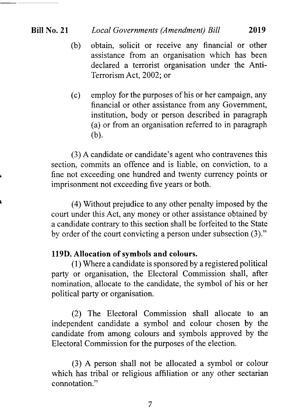### Bill No. 21 Local Governments (Amendment) Bill 2019

- (b) obtain, solicit or receive any financial or other assistance from an organisation which has been declared a terrorist organisation under the Anti-Terrorism Act,2002; or
- (c) employ for the purposes of his or her campaign. any financial or other assistance from any Government, institution, body or person described in paragraph (a) or from an organisation referred to in paragraph (b).

(3) A candidate or candidate's agent who contravenes this section, commits an offence and is liable, on conviction, to a fine not exceeding one hundred and twenty currency points or imprisonment not exceeding five years or both.

(4) Without prejudice to any other penalty imposed by the court under this Act, any money or other assistance obtained by a candidate contrary to this section shall be forfeited to the State by order of the court convicting a person under subsection (3)."

### 119D. Allocation of symbols and colours.

(l) Where a candidate is sponsored by a registered political party or organisation, the Electoral Commission shall, after nomination, allocate to the candidate, the symbol of his or her political party or organisation.

(2) The Electoral Commission shall allocate to an independent candidate a symbol and colour chosen by the candidate from among colours and symbols approved by the Electoral Commission for the purposes of the election.

(3) A person shall not be allocated a symbol or colour which has tribal or religious affiliation or any other sectarian connotation."

7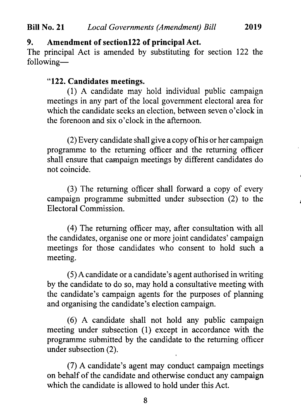### 9. Amendment of section 122 of principal Act.

The principal Act is amended by substituting for section 122 the following-

### " 122. Candidates meetings.

(1) A candidate may hold individual public campaign meetings in any part of the local govemment electoral area for which the candidate seeks an election, between seven o'clock in the forenoon and six o'clock in the afternoon.

(2) Every candidate shall give a copy of his or her campaign programme to the returning officer and the returning officer shall ensure that carnpaign meetings by different candidates do not coincide.

 $(3)$  The returning officer shall forward a copy of every campaign programme submitted under subsection (2) to the Electoral Commission.

(4) The returning officer may, after consultation with all the candidates, organise one or more joint candidates' campaign meetings for those candidates who consent to hold such <sup>a</sup> meeting.

(5) Acandidate or a candidate's agent authorised in writing by the candidate to do so, may hold a consultative meeting with the candidate's campaign agents for the purposes of planning and organising the candidate's election campaign.

(6) A candidate shall not hold any public campaign meeting under subsection (1) except in accordance with the programme submitted by the candidate to the returning officer under subsection (2).

(7) A candidate's agent may conduct campaign meetings on behalf of the candidate and otherwise conduct any campaign which the candidate is allowed to hold under this Act.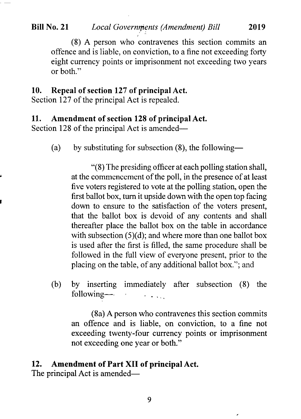#### Bill No. 21 Local Governments (Amendment) Bill 2019

(S) A person who'contravenes this section commits an offence and is liable, on conviction, to a fine not exceeding forty eight currency points or imprisonment not exceeding two years or both."

#### 10. Repeal of section 127 of principal Act.

Section 127 of the principal Act is repealed.

#### 11. Amendment of section 128 of principal Act.

Section 128 of the principal Act is amended-

(a) by substituting for subsection  $(8)$ , the following-

"(8) The presiding officer at each polling station shall, at the commencement of the poll, in the presence of at least five voters registered to vote at the polling station, open the first ballot box, turn it upside down with the open top facing down to ensure to the satisfaction of the voters present, that the ballot box is devoid of any contents and shall thereafter place the ballot box on the table in accordance with subsection (5)(d); and where more than one ballot box is used after the first is filled, the same procedure shall be followed in the full view of everyone present, prior to the placing on the table, of any additional ballot box."; and

(b) by inserting immediately after subsection (8) the following- $\sim 100$ 

(8a) A person who contravenes this section commits an offence and is liable, on conviction, to a fine not exceeding twenty-four currency points or imprisonment not exceeding one year or both."

 $\overline{\phantom{a}}$ 

#### 12. Amendment of Part XII of principal Act.

The principal Act is amended—